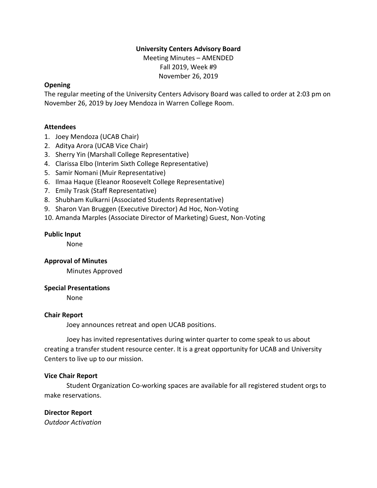## **University Centers Advisory Board**

Meeting Minutes – AMENDED Fall 2019, Week #9 November 26, 2019

### **Opening**

The regular meeting of the University Centers Advisory Board was called to order at 2:03 pm on November 26, 2019 by Joey Mendoza in Warren College Room.

### **Attendees**

- 1. Joey Mendoza (UCAB Chair)
- 2. Aditya Arora (UCAB Vice Chair)
- 3. Sherry Yin (Marshall College Representative)
- 4. Clarissa Elbo (Interim Sixth College Representative)
- 5. Samir Nomani (Muir Representative)
- 6. Ilmaa Haque (Eleanor Roosevelt College Representative)
- 7. Emily Trask (Staff Representative)
- 8. Shubham Kulkarni (Associated Students Representative)
- 9. Sharon Van Bruggen (Executive Director) Ad Hoc, Non-Voting
- 10. Amanda Marples (Associate Director of Marketing) Guest, Non-Voting

### **Public Input**

None

### **Approval of Minutes**

Minutes Approved

### **Special Presentations**

None

### **Chair Report**

Joey announces retreat and open UCAB positions.

Joey has invited representatives during winter quarter to come speak to us about creating a transfer student resource center. It is a great opportunity for UCAB and University Centers to live up to our mission.

### **Vice Chair Report**

Student Organization Co-working spaces are available for all registered student orgs to make reservations.

### **Director Report**

*Outdoor Activation*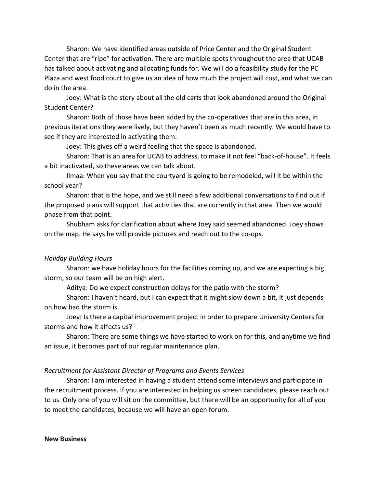Sharon: We have identified areas outside of Price Center and the Original Student Center that are "ripe" for activation. There are multiple spots throughout the area that UCAB has talked about activating and allocating funds for. We will do a feasibility study for the PC Plaza and west food court to give us an idea of how much the project will cost, and what we can do in the area.

Joey: What is the story about all the old carts that look abandoned around the Original Student Center?

Sharon: Both of those have been added by the co-operatives that are in this area, in previous iterations they were lively, but they haven't been as much recently. We would have to see if they are interested in activating them.

Joey: This gives off a weird feeling that the space is abandoned.

Sharon: That is an area for UCAB to address, to make it not feel "back-of-house". It feels a bit inactivated, so these areas we can talk about.

Ilmaa: When you say that the courtyard is going to be remodeled, will it be within the school year?

Sharon: that is the hope, and we still need a few additional conversations to find out if the proposed plans will support that activities that are currently in that area. Then we would phase from that point.

Shubham asks for clarification about where Joey said seemed abandoned. Joey shows on the map. He says he will provide pictures and reach out to the co-ops.

### *Holiday Building Hours*

Sharon: we have holiday hours for the facilities coming up, and we are expecting a big storm, so our team will be on high alert.

Aditya: Do we expect construction delays for the patio with the storm?

Sharon: I haven't heard, but I can expect that it might slow down a bit, it just depends on how bad the storm is.

Joey: Is there a capital improvement project in order to prepare University Centers for storms and how it affects us?

Sharon: There are some things we have started to work on for this, and anytime we find an issue, it becomes part of our regular maintenance plan.

### *Recruitment for Assistant Director of Programs and Events Services*

Sharon: I am interested in having a student attend some interviews and participate in the recruitment process. If you are interested in helping us screen candidates, please reach out to us. Only one of you will sit on the committee, but there will be an opportunity for all of you to meet the candidates, because we will have an open forum.

#### **New Business**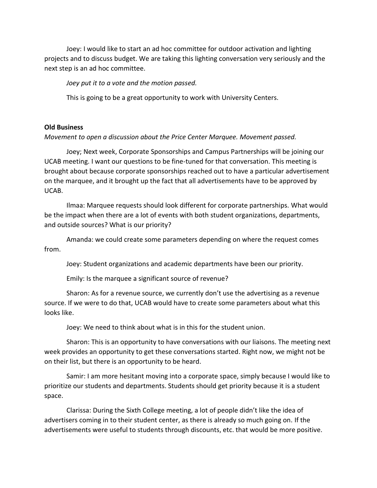Joey: I would like to start an ad hoc committee for outdoor activation and lighting projects and to discuss budget. We are taking this lighting conversation very seriously and the next step is an ad hoc committee.

*Joey put it to a vote and the motion passed.*

This is going to be a great opportunity to work with University Centers.

### **Old Business**

*Movement to open a discussion about the Price Center Marquee. Movement passed.* 

Joey; Next week, Corporate Sponsorships and Campus Partnerships will be joining our UCAB meeting. I want our questions to be fine-tuned for that conversation. This meeting is brought about because corporate sponsorships reached out to have a particular advertisement on the marquee, and it brought up the fact that all advertisements have to be approved by UCAB.

Ilmaa: Marquee requests should look different for corporate partnerships. What would be the impact when there are a lot of events with both student organizations, departments, and outside sources? What is our priority?

Amanda: we could create some parameters depending on where the request comes from.

Joey: Student organizations and academic departments have been our priority.

Emily: Is the marquee a significant source of revenue?

Sharon: As for a revenue source, we currently don't use the advertising as a revenue source. If we were to do that, UCAB would have to create some parameters about what this looks like.

Joey: We need to think about what is in this for the student union.

Sharon: This is an opportunity to have conversations with our liaisons. The meeting next week provides an opportunity to get these conversations started. Right now, we might not be on their list, but there is an opportunity to be heard.

Samir: I am more hesitant moving into a corporate space, simply because I would like to prioritize our students and departments. Students should get priority because it is a student space.

Clarissa: During the Sixth College meeting, a lot of people didn't like the idea of advertisers coming in to their student center, as there is already so much going on. If the advertisements were useful to students through discounts, etc. that would be more positive.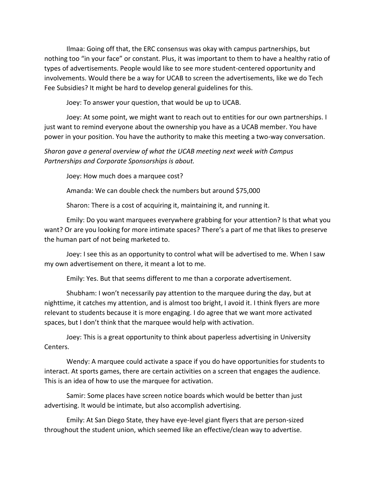Ilmaa: Going off that, the ERC consensus was okay with campus partnerships, but nothing too "in your face" or constant. Plus, it was important to them to have a healthy ratio of types of advertisements. People would like to see more student-centered opportunity and involvements. Would there be a way for UCAB to screen the advertisements, like we do Tech Fee Subsidies? It might be hard to develop general guidelines for this.

Joey: To answer your question, that would be up to UCAB.

Joey: At some point, we might want to reach out to entities for our own partnerships. I just want to remind everyone about the ownership you have as a UCAB member. You have power in your position. You have the authority to make this meeting a two-way conversation.

# *Sharon gave a general overview of what the UCAB meeting next week with Campus Partnerships and Corporate Sponsorships is about.*

Joey: How much does a marquee cost?

Amanda: We can double check the numbers but around \$75,000

Sharon: There is a cost of acquiring it, maintaining it, and running it.

Emily: Do you want marquees everywhere grabbing for your attention? Is that what you want? Or are you looking for more intimate spaces? There's a part of me that likes to preserve the human part of not being marketed to.

Joey: I see this as an opportunity to control what will be advertised to me. When I saw my own advertisement on there, it meant a lot to me.

Emily: Yes. But that seems different to me than a corporate advertisement.

Shubham: I won't necessarily pay attention to the marquee during the day, but at nighttime, it catches my attention, and is almost too bright, I avoid it. I think flyers are more relevant to students because it is more engaging. I do agree that we want more activated spaces, but I don't think that the marquee would help with activation.

Joey: This is a great opportunity to think about paperless advertising in University Centers.

Wendy: A marquee could activate a space if you do have opportunities for students to interact. At sports games, there are certain activities on a screen that engages the audience. This is an idea of how to use the marquee for activation.

Samir: Some places have screen notice boards which would be better than just advertising. It would be intimate, but also accomplish advertising.

Emily: At San Diego State, they have eye-level giant flyers that are person-sized throughout the student union, which seemed like an effective/clean way to advertise.